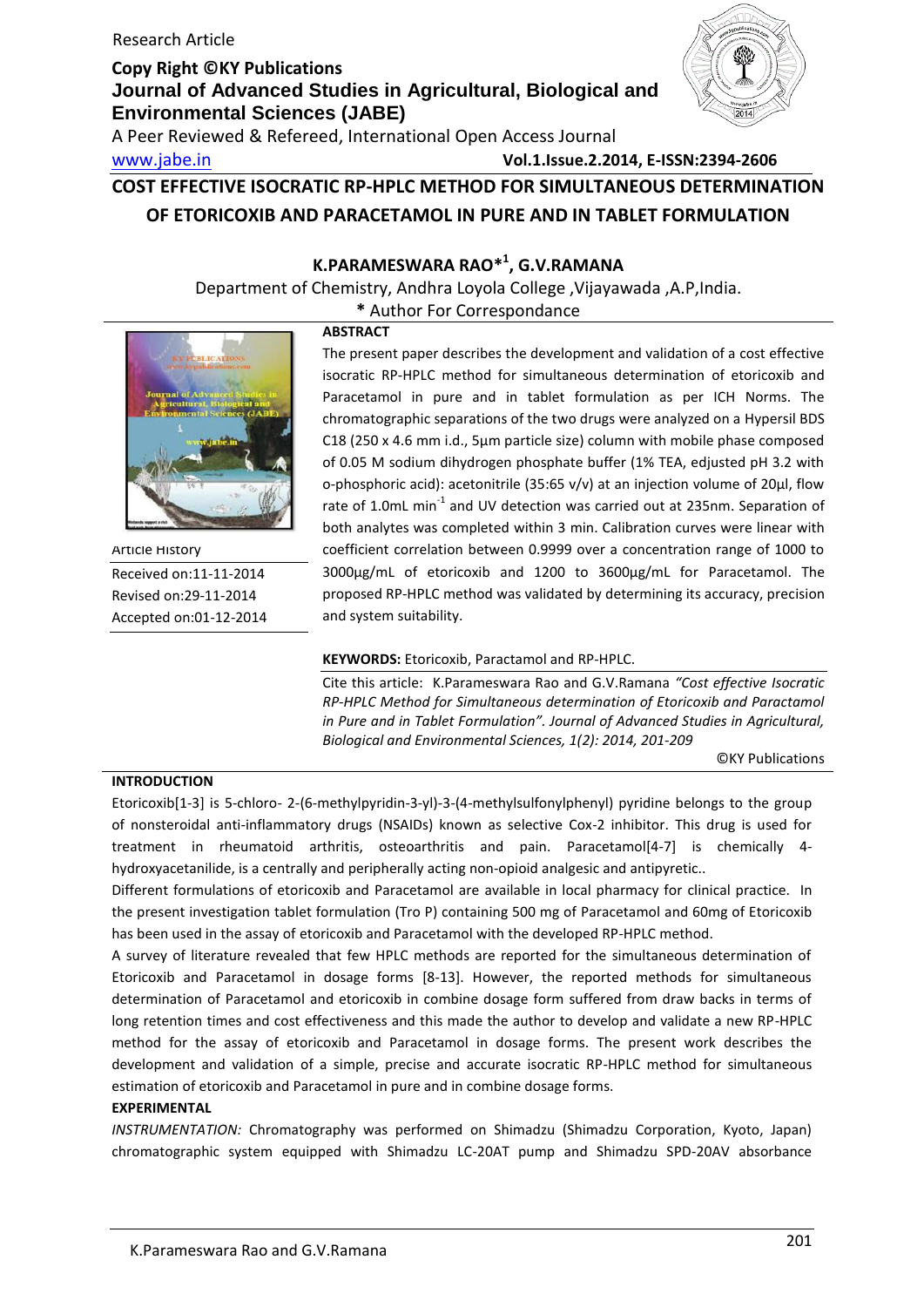A Peer Reviewed & Refereed, International Open Access Journal

www.jabe.in **Vol.1.Issue.2.2014, E-ISSN:2394-2606**

## **COST EFFECTIVE ISOCRATIC RP-HPLC METHOD FOR SIMULTANEOUS DETERMINATION OF ETORICOXIB AND PARACETAMOL IN PURE AND IN TABLET FORMULATION**

## **K.PARAMESWARA RAO\* 1 , G.V.RAMANA**

Department of Chemistry, Andhra Loyola College ,Vijayawada ,A.P,India.

**\*** Author For Correspondance



Article History Received on:11-11-2014 Revised on:29-11-2014 Accepted on:01-12-2014

## **ABSTRACT**

The present paper describes the development and validation of a cost effective isocratic RP-HPLC method for simultaneous determination of etoricoxib and Paracetamol in pure and in tablet formulation as per ICH Norms. The chromatographic separations of the two drugs were analyzed on a Hypersil BDS C18 (250 x 4.6 mm i.d., 5μm particle size) column with mobile phase composed of 0.05 M sodium dihydrogen phosphate buffer (1% TEA, edjusted pH 3.2 with o-phosphoric acid): acetonitrile (35:65 v/v) at an injection volume of 20μl, flow rate of 1.0mL min<sup>-1</sup> and UV detection was carried out at 235nm. Separation of both analytes was completed within 3 min. Calibration curves were linear with coefficient correlation between 0.9999 over a concentration range of 1000 to 3000µg/mL of etoricoxib and 1200 to 3600µg/mL for Paracetamol. The proposed RP-HPLC method was validated by determining its accuracy, precision and system suitability.

## **KEYWORDS:** Etoricoxib, Paractamol and RP-HPLC.

Cite this article: K.Parameswara Rao and G.V.Ramana *"Cost effective Isocratic RP-HPLC Method for Simultaneous determination of Etoricoxib and Paractamol in Pure and in Tablet Formulation". Journal of Advanced Studies in Agricultural, Biological and Environmental Sciences, 1(2): 2014, 201-209*

©KY Publications

## **INTRODUCTION**

Etoricoxib[1-3] is 5-chloro- 2-(6-methylpyridin-3-yl)-3-(4-methylsulfonylphenyl) pyridine belongs to the group of nonsteroidal anti-inflammatory drugs (NSAIDs) known as selective Cox-2 inhibitor. This drug is used for treatment in rheumatoid arthritis, osteoarthritis and pain. Paracetamol[4-7] is chemically 4 hydroxyacetanilide, is a centrally and peripherally acting non-opioid analgesic and antipyretic..

Different formulations of etoricoxib and Paracetamol are available in local pharmacy for clinical practice. In the present investigation tablet formulation (Tro P) containing 500 mg of Paracetamol and 60mg of Etoricoxib has been used in the assay of etoricoxib and Paracetamol with the developed RP-HPLC method.

A survey of literature revealed that few HPLC methods are reported for the simultaneous determination of Etoricoxib and Paracetamol in dosage forms [8-13]. However, the reported methods for simultaneous determination of Paracetamol and etoricoxib in combine dosage form suffered from draw backs in terms of long retention times and cost effectiveness and this made the author to develop and validate a new RP-HPLC method for the assay of etoricoxib and Paracetamol in dosage forms. The present work describes the development and validation of a simple, precise and accurate isocratic RP-HPLC method for simultaneous estimation of etoricoxib and Paracetamol in pure and in combine dosage forms.

## **EXPERIMENTAL**

*INSTRUMENTATION:* Chromatography was performed on Shimadzu (Shimadzu Corporation, Kyoto, Japan) chromatographic system equipped with Shimadzu LC-20AT pump and Shimadzu SPD-20AV absorbance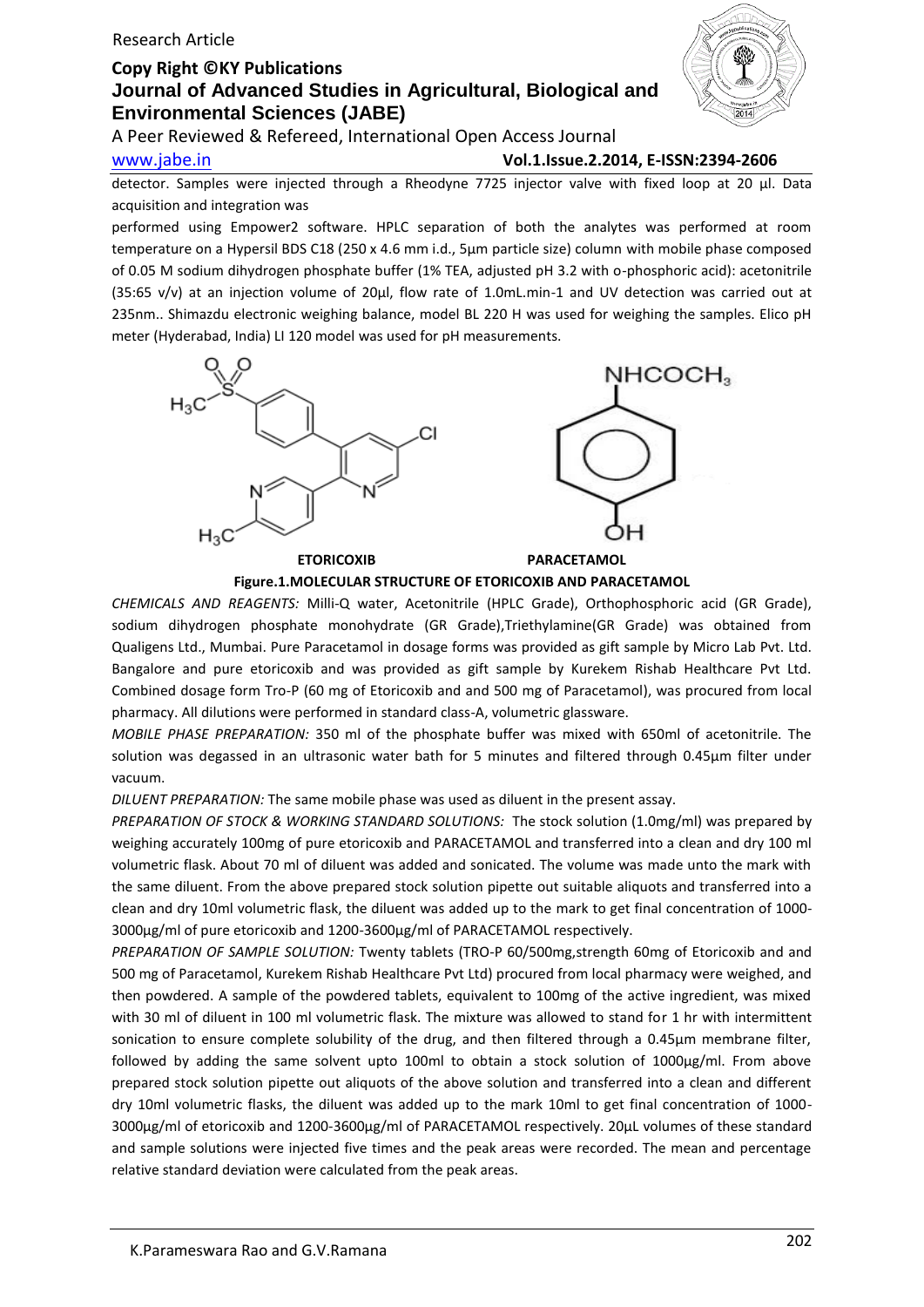## Research Article

## **Copy Right ©KY Publications Journal of Advanced Studies in Agricultural, Biological and Environmental Sciences (JABE)**



A Peer Reviewed & Refereed, International Open Access Journal

www.jabe.in **Vol.1.Issue.2.2014, E-ISSN:2394-2606**

detector. Samples were injected through a Rheodyne 7725 injector valve with fixed loop at 20 μl. Data acquisition and integration was

performed using Empower2 software. HPLC separation of both the analytes was performed at room temperature on a Hypersil BDS C18 (250 x 4.6 mm i.d., 5μm particle size) column with mobile phase composed of 0.05 M sodium dihydrogen phosphate buffer (1% TEA, adjusted pH 3.2 with o-phosphoric acid): acetonitrile (35:65 v/v) at an injection volume of 20μl, flow rate of 1.0mL.min-1 and UV detection was carried out at 235nm.. Shimazdu electronic weighing balance, model BL 220 H was used for weighing the samples. Elico pH meter (Hyderabad, India) LI 120 model was used for pH measurements.



**Figure.1.MOLECULAR STRUCTURE OF ETORICOXIB AND PARACETAMOL**

*CHEMICALS AND REAGENTS:* Milli-Q water, Acetonitrile (HPLC Grade), Orthophosphoric acid (GR Grade), sodium dihydrogen phosphate monohydrate (GR Grade),Triethylamine(GR Grade) was obtained from Qualigens Ltd., Mumbai. Pure Paracetamol in dosage forms was provided as gift sample by Micro Lab Pvt. Ltd. Bangalore and pure etoricoxib and was provided as gift sample by Kurekem Rishab Healthcare Pvt Ltd. Combined dosage form Tro-P (60 mg of Etoricoxib and and 500 mg of Paracetamol), was procured from local pharmacy. All dilutions were performed in standard class-A, volumetric glassware.

*MOBILE PHASE PREPARATION:* 350 ml of the phosphate buffer was mixed with 650ml of acetonitrile. The solution was degassed in an ultrasonic water bath for 5 minutes and filtered through 0.45μm filter under vacuum.

*DILUENT PREPARATION:* The same mobile phase was used as diluent in the present assay.

*PREPARATION OF STOCK & WORKING STANDARD SOLUTIONS:* The stock solution (1.0mg/ml) was prepared by weighing accurately 100mg of pure etoricoxib and PARACETAMOL and transferred into a clean and dry 100 ml volumetric flask. About 70 ml of diluent was added and sonicated. The volume was made unto the mark with the same diluent. From the above prepared stock solution pipette out suitable aliquots and transferred into a clean and dry 10ml volumetric flask, the diluent was added up to the mark to get final concentration of 1000- 3000μg/ml of pure etoricoxib and 1200-3600μg/ml of PARACETAMOL respectively.

*PREPARATION OF SAMPLE SOLUTION:* Twenty tablets (TRO-P 60/500mg,strength 60mg of Etoricoxib and and 500 mg of Paracetamol, Kurekem Rishab Healthcare Pvt Ltd) procured from local pharmacy were weighed, and then powdered. A sample of the powdered tablets, equivalent to 100mg of the active ingredient, was mixed with 30 ml of diluent in 100 ml volumetric flask. The mixture was allowed to stand for 1 hr with intermittent sonication to ensure complete solubility of the drug, and then filtered through a 0.45µm membrane filter, followed by adding the same solvent upto 100ml to obtain a stock solution of 1000μg/ml. From above prepared stock solution pipette out aliquots of the above solution and transferred into a clean and different dry 10ml volumetric flasks, the diluent was added up to the mark 10ml to get final concentration of 1000- 3000μg/ml of etoricoxib and 1200-3600μg/ml of PARACETAMOL respectively. 20μL volumes of these standard and sample solutions were injected five times and the peak areas were recorded. The mean and percentage relative standard deviation were calculated from the peak areas.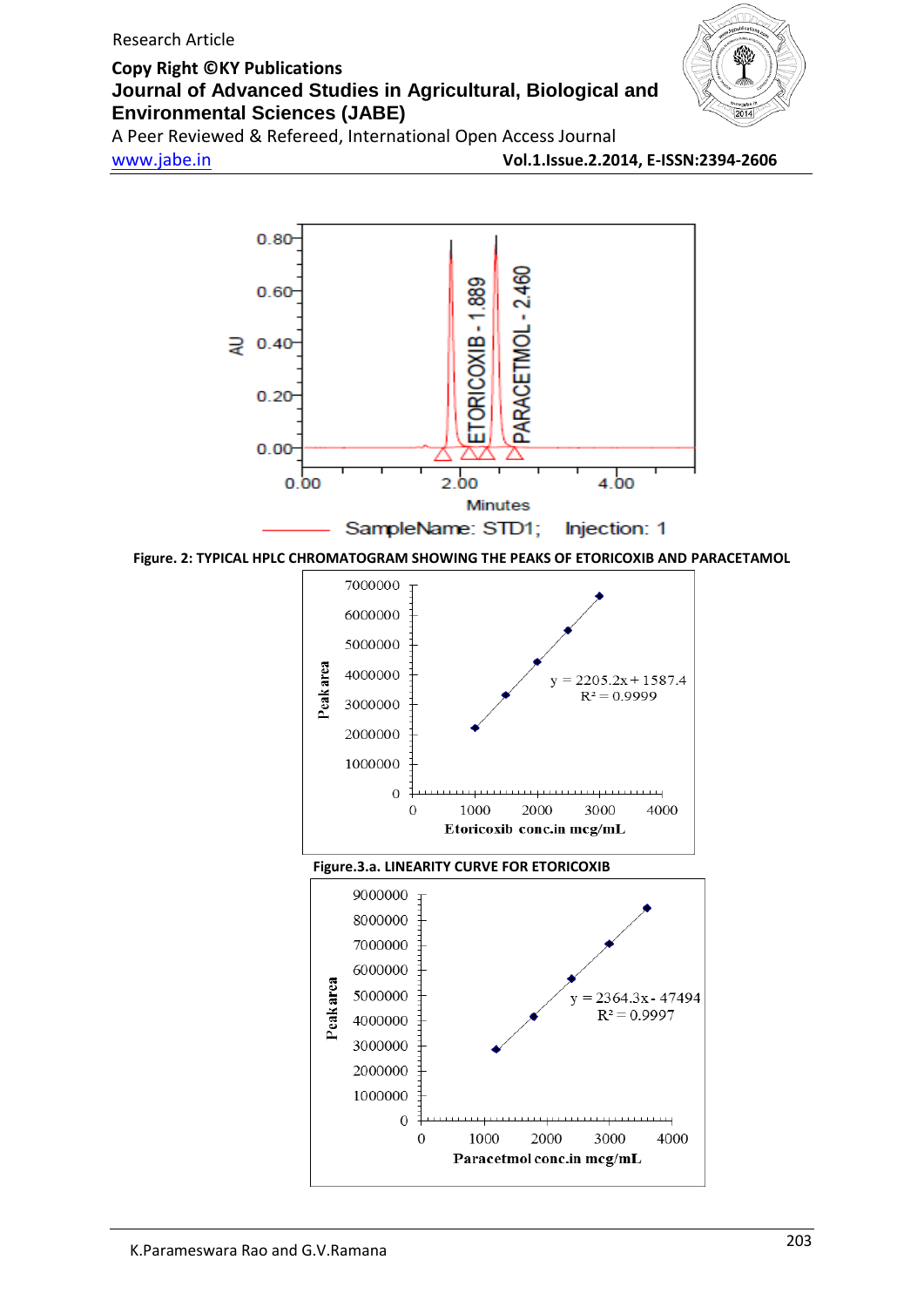

A Peer Reviewed & Refereed, International Open Access Journal

www.jabe.in **Vol.1.Issue.2.2014, E-ISSN:2394-2606**

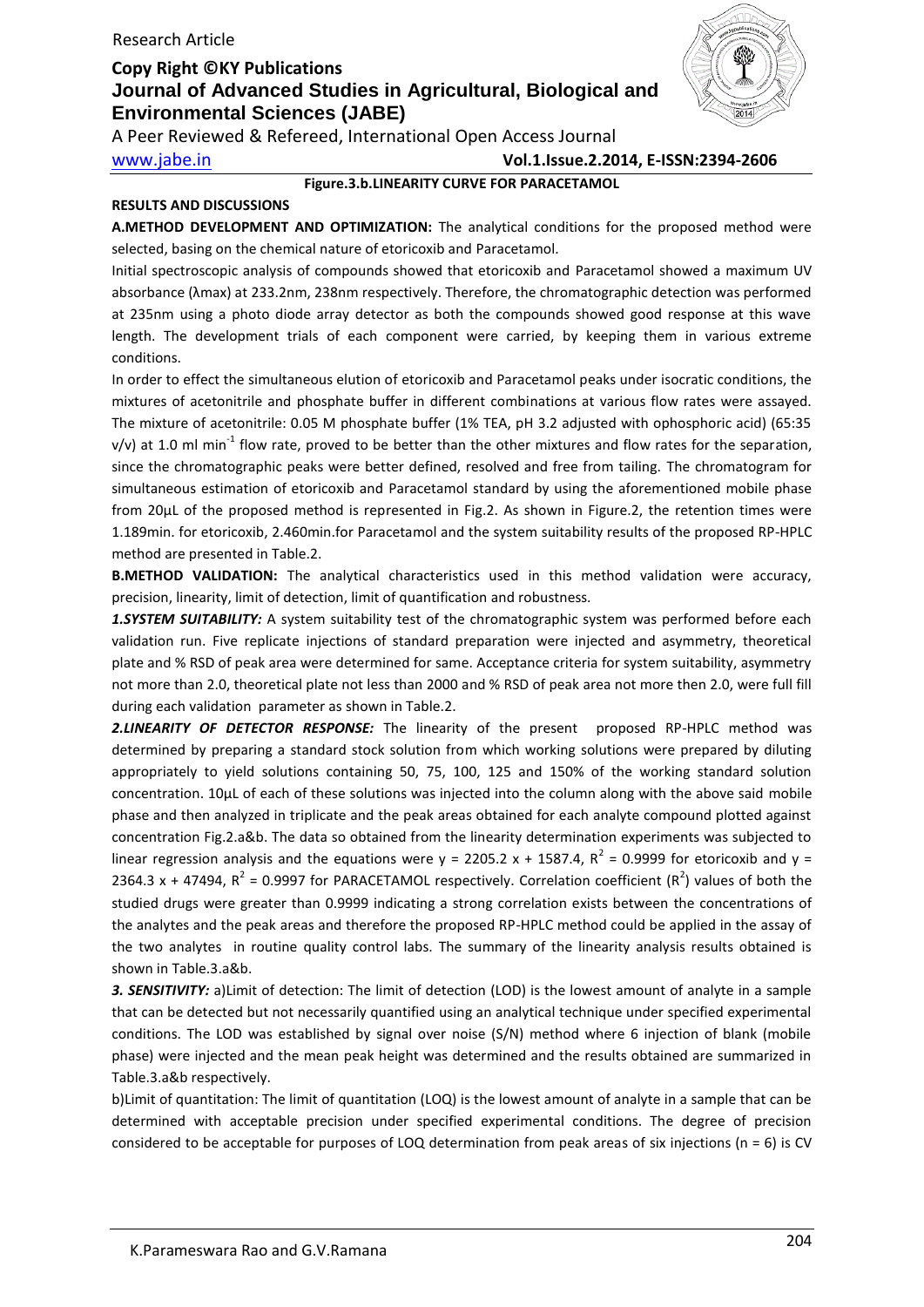

A Peer Reviewed & Refereed, International Open Access Journal

www.jabe.in **Vol.1.Issue.2.2014, E-ISSN:2394-2606**

## **Figure.3.b.LINEARITY CURVE FOR PARACETAMOL**

## **RESULTS AND DISCUSSIONS**

**A.METHOD DEVELOPMENT AND OPTIMIZATION:** The analytical conditions for the proposed method were selected, basing on the chemical nature of etoricoxib and Paracetamol.

Initial spectroscopic analysis of compounds showed that etoricoxib and Paracetamol showed a maximum UV absorbance (λmax) at 233.2nm, 238nm respectively. Therefore, the chromatographic detection was performed at 235nm using a photo diode array detector as both the compounds showed good response at this wave length. The development trials of each component were carried, by keeping them in various extreme conditions.

In order to effect the simultaneous elution of etoricoxib and Paracetamol peaks under isocratic conditions, the mixtures of acetonitrile and phosphate buffer in different combinations at various flow rates were assayed. The mixture of acetonitrile: 0.05 M phosphate buffer (1% TEA, pH 3.2 adjusted with ophosphoric acid) (65:35 v/v) at 1.0 ml min<sup>-1</sup> flow rate, proved to be better than the other mixtures and flow rates for the separation, since the chromatographic peaks were better defined, resolved and free from tailing. The chromatogram for simultaneous estimation of etoricoxib and Paracetamol standard by using the aforementioned mobile phase from 20μL of the proposed method is represented in Fig.2. As shown in Figure.2, the retention times were 1.189min. for etoricoxib, 2.460min.for Paracetamol and the system suitability results of the proposed RP-HPLC method are presented in Table.2.

**B.METHOD VALIDATION:** The analytical characteristics used in this method validation were accuracy, precision, linearity, limit of detection, limit of quantification and robustness.

*1.SYSTEM SUITABILITY:* A system suitability test of the chromatographic system was performed before each validation run. Five replicate injections of standard preparation were injected and asymmetry, theoretical plate and % RSD of peak area were determined for same. Acceptance criteria for system suitability, asymmetry not more than 2.0, theoretical plate not less than 2000 and % RSD of peak area not more then 2.0, were full fill during each validation parameter as shown in Table.2.

*2.LINEARITY OF DETECTOR RESPONSE:* The linearity of the present proposed RP-HPLC method was determined by preparing a standard stock solution from which working solutions were prepared by diluting appropriately to yield solutions containing 50, 75, 100, 125 and 150% of the working standard solution concentration. 10µL of each of these solutions was injected into the column along with the above said mobile phase and then analyzed in triplicate and the peak areas obtained for each analyte compound plotted against concentration Fig.2.a&b. The data so obtained from the linearity determination experiments was subjected to linear regression analysis and the equations were  $y = 2205.2 x + 1587.4$ ,  $R^2 = 0.9999$  for etoricoxib and  $y =$ 2364.3 x + 47494,  $R^2$  = 0.9997 for PARACETAMOL respectively. Correlation coefficient ( $R^2$ ) values of both the studied drugs were greater than 0.9999 indicating a strong correlation exists between the concentrations of the analytes and the peak areas and therefore the proposed RP-HPLC method could be applied in the assay of the two analytes in routine quality control labs. The summary of the linearity analysis results obtained is shown in Table.3.a&b.

*3. SENSITIVITY:* a)Limit of detection: The limit of detection (LOD) is the lowest amount of analyte in a sample that can be detected but not necessarily quantified using an analytical technique under specified experimental conditions. The LOD was established by signal over noise (S/N) method where 6 injection of blank (mobile phase) were injected and the mean peak height was determined and the results obtained are summarized in Table.3.a&b respectively.

b)Limit of quantitation: The limit of quantitation (LOQ) is the lowest amount of analyte in a sample that can be determined with acceptable precision under specified experimental conditions. The degree of precision considered to be acceptable for purposes of LOQ determination from peak areas of six injections ( $n = 6$ ) is CV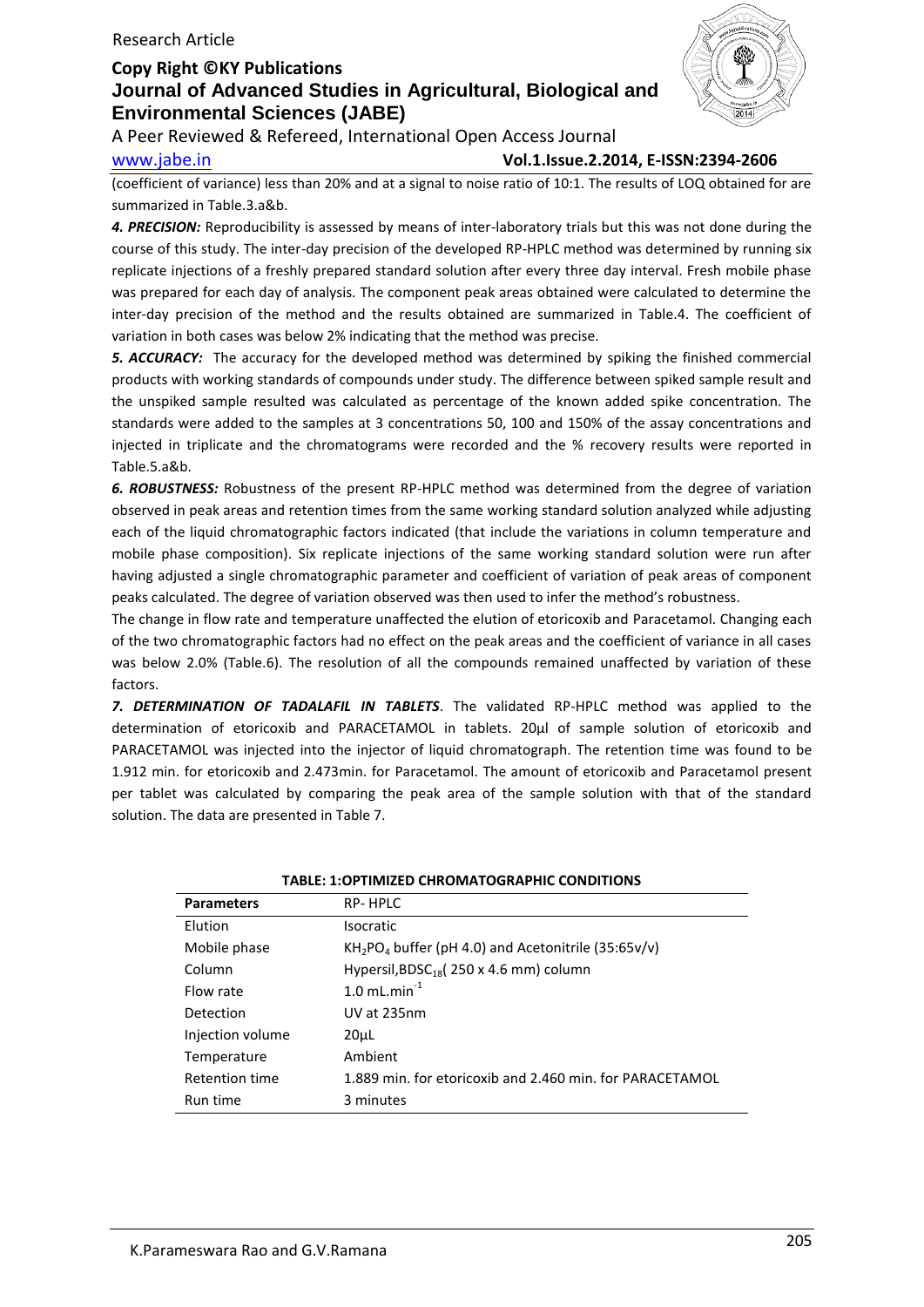

A Peer Reviewed & Refereed, International Open Access Journal

www.jabe.in **Vol.1.Issue.2.2014, E-ISSN:2394-2606**

(coefficient of variance) less than 20% and at a signal to noise ratio of 10:1. The results of LOQ obtained for are summarized in Table.3.a&b.

*4. PRECISION:* Reproducibility is assessed by means of inter-laboratory trials but this was not done during the course of this study. The inter-day precision of the developed RP-HPLC method was determined by running six replicate injections of a freshly prepared standard solution after every three day interval. Fresh mobile phase was prepared for each day of analysis. The component peak areas obtained were calculated to determine the inter-day precision of the method and the results obtained are summarized in Table.4. The coefficient of variation in both cases was below 2% indicating that the method was precise.

*5. ACCURACY:* The accuracy for the developed method was determined by spiking the finished commercial products with working standards of compounds under study. The difference between spiked sample result and the unspiked sample resulted was calculated as percentage of the known added spike concentration. The standards were added to the samples at 3 concentrations 50, 100 and 150% of the assay concentrations and injected in triplicate and the chromatograms were recorded and the % recovery results were reported in Table.5.a&b.

*6. ROBUSTNESS:* Robustness of the present RP-HPLC method was determined from the degree of variation observed in peak areas and retention times from the same working standard solution analyzed while adjusting each of the liquid chromatographic factors indicated (that include the variations in column temperature and mobile phase composition). Six replicate injections of the same working standard solution were run after having adjusted a single chromatographic parameter and coefficient of variation of peak areas of component peaks calculated. The degree of variation observed was then used to infer the method's robustness.

The change in flow rate and temperature unaffected the elution of etoricoxib and Paracetamol. Changing each of the two chromatographic factors had no effect on the peak areas and the coefficient of variance in all cases was below 2.0% (Table.6). The resolution of all the compounds remained unaffected by variation of these factors.

*7. DETERMINATION OF TADALAFIL IN TABLETS*. The validated RP-HPLC method was applied to the determination of etoricoxib and PARACETAMOL in tablets. 20μl of sample solution of etoricoxib and PARACETAMOL was injected into the injector of liquid chromatograph. The retention time was found to be 1.912 min. for etoricoxib and 2.473min. for Paracetamol. The amount of etoricoxib and Paracetamol present per tablet was calculated by comparing the peak area of the sample solution with that of the standard solution. The data are presented in Table 7.

| TABLE: 1:OPTIMIZED CHROMATOGRAPHIC CONDITIONS |                                                                             |  |  |  |
|-----------------------------------------------|-----------------------------------------------------------------------------|--|--|--|
| <b>Parameters</b>                             | RP-HPLC                                                                     |  |  |  |
| Elution                                       | <b>Isocratic</b>                                                            |  |  |  |
| Mobile phase                                  | KH <sub>2</sub> PO <sub>4</sub> buffer (pH 4.0) and Acetonitrile (35:65v/v) |  |  |  |
| Column                                        | Hypersil, BDSC <sub>18</sub> (250 x 4.6 mm) column                          |  |  |  |
| Flow rate                                     | 1.0 mL.min $^{-1}$                                                          |  |  |  |
| Detection                                     | UV at 235nm                                                                 |  |  |  |
| Injection volume                              | 20uL                                                                        |  |  |  |
| Temperature                                   | Ambient                                                                     |  |  |  |
| Retention time                                | 1.889 min. for etoricoxib and 2.460 min. for PARACETAMOL                    |  |  |  |
| Run time                                      | 3 minutes                                                                   |  |  |  |

**TABLE: 1:OPTIMIZED CHROMATOGRAPHIC CONDITIONS**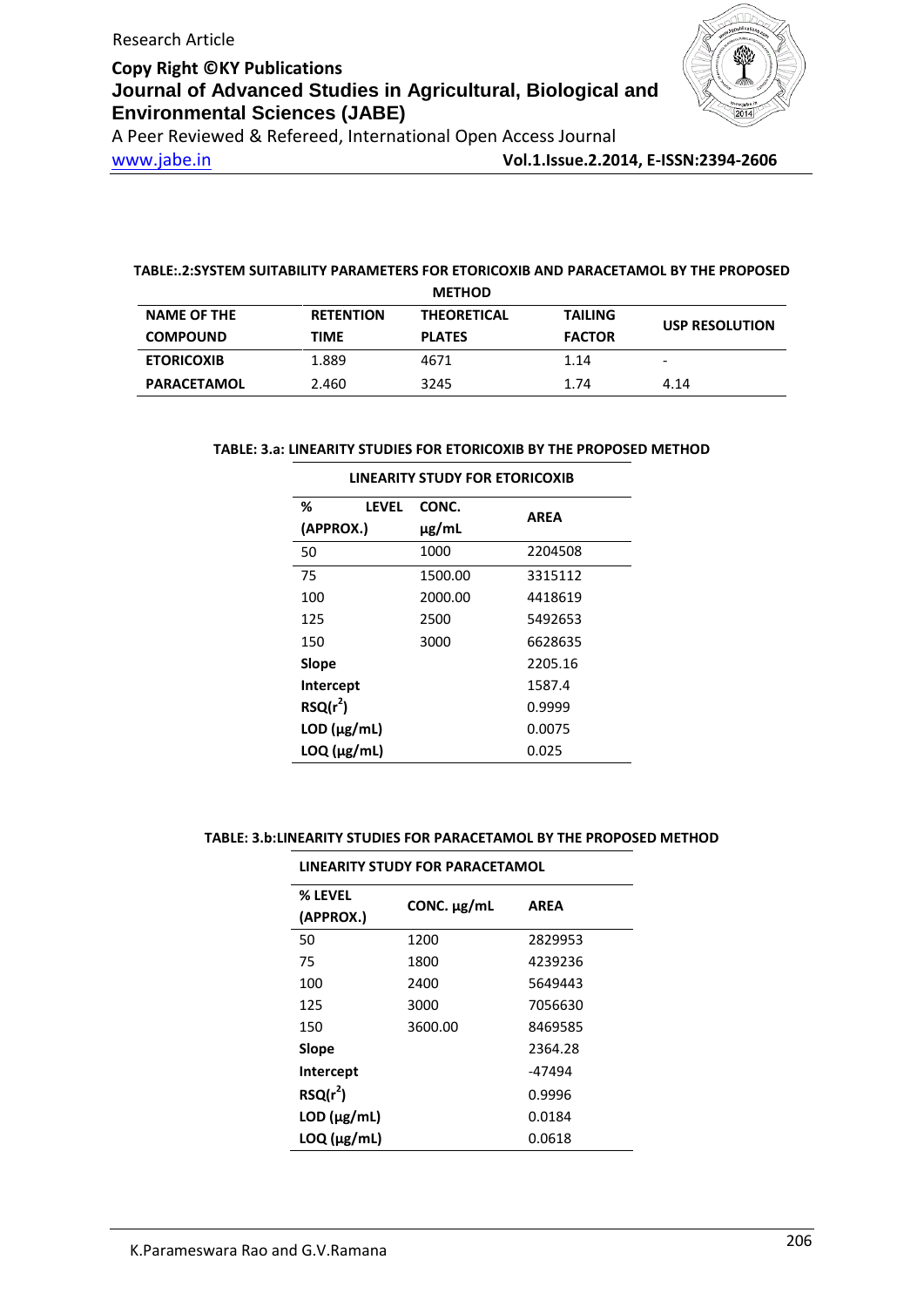

A Peer Reviewed & Refereed, International Open Access Journal

www.jabe.in **Vol.1.Issue.2.2014, E-ISSN:2394-2606**

## **TABLE:.2:SYSTEM SUITABILITY PARAMETERS FOR ETORICOXIB AND PARACETAMOL BY THE PROPOSED**

|                    |                  | <b>METHOD</b>      |                |                          |
|--------------------|------------------|--------------------|----------------|--------------------------|
| <b>NAME OF THE</b> | <b>RETENTION</b> | <b>THEORETICAL</b> | <b>TAILING</b> | <b>USP RESOLUTION</b>    |
| <b>COMPOUND</b>    | <b>TIME</b>      | <b>PLATES</b>      | <b>FACTOR</b>  |                          |
| <b>ETORICOXIB</b>  | 1.889            | 4671               | 1.14           | $\overline{\phantom{0}}$ |
| <b>PARACETAMOL</b> | 2.460            | 3245               | 1.74           | 4.14                     |

### **TABLE: 3.a: LINEARITY STUDIES FOR ETORICOXIB BY THE PROPOSED METHOD**

| ℅<br>LEVEL          | CONC.   |             |
|---------------------|---------|-------------|
| (APPROX.)           | µg/mL   | <b>AREA</b> |
| 50                  | 1000    | 2204508     |
| 75                  | 1500.00 | 3315112     |
| 100                 | 2000.00 | 4418619     |
| 125                 | 2500    | 5492653     |
| 150                 | 3000    | 6628635     |
| Slope               |         | 2205.16     |
| Intercept           |         | 1587.4      |
| $RSQ(r^2)$          |         | 0.9999      |
| $LOD$ ( $\mu$ g/mL) |         | 0.0075      |
| $LOQ$ ( $\mu$ g/mL) |         | 0.025       |

### **LINEARITY STUDY FOR ETORICOXIB**

## **TABLE: 3.b:LINEARITY STUDIES FOR PARACETAMOL BY THE PROPOSED METHOD**

| LINEARITY STUDY FOR PARACETAMOL |                  |             |  |  |  |
|---------------------------------|------------------|-------------|--|--|--|
| % LEVEL<br>(APPROX.)            | CONC. $\mu$ g/mL | <b>AREA</b> |  |  |  |
| 50                              | 1200             | 2829953     |  |  |  |
| 75                              | 1800             | 4239236     |  |  |  |
| 100                             | 2400             | 5649443     |  |  |  |
| 125                             | 3000             | 7056630     |  |  |  |
| 150                             | 3600.00          | 8469585     |  |  |  |
| Slope                           |                  | 2364.28     |  |  |  |
| <b>Intercept</b>                |                  | -47494      |  |  |  |
| $RSQ(r^2)$                      |                  | 0.9996      |  |  |  |
| $LOD$ ( $\mu$ g/mL)             |                  | 0.0184      |  |  |  |
| $LOQ$ ( $\mu$ g/mL)             |                  | 0.0618      |  |  |  |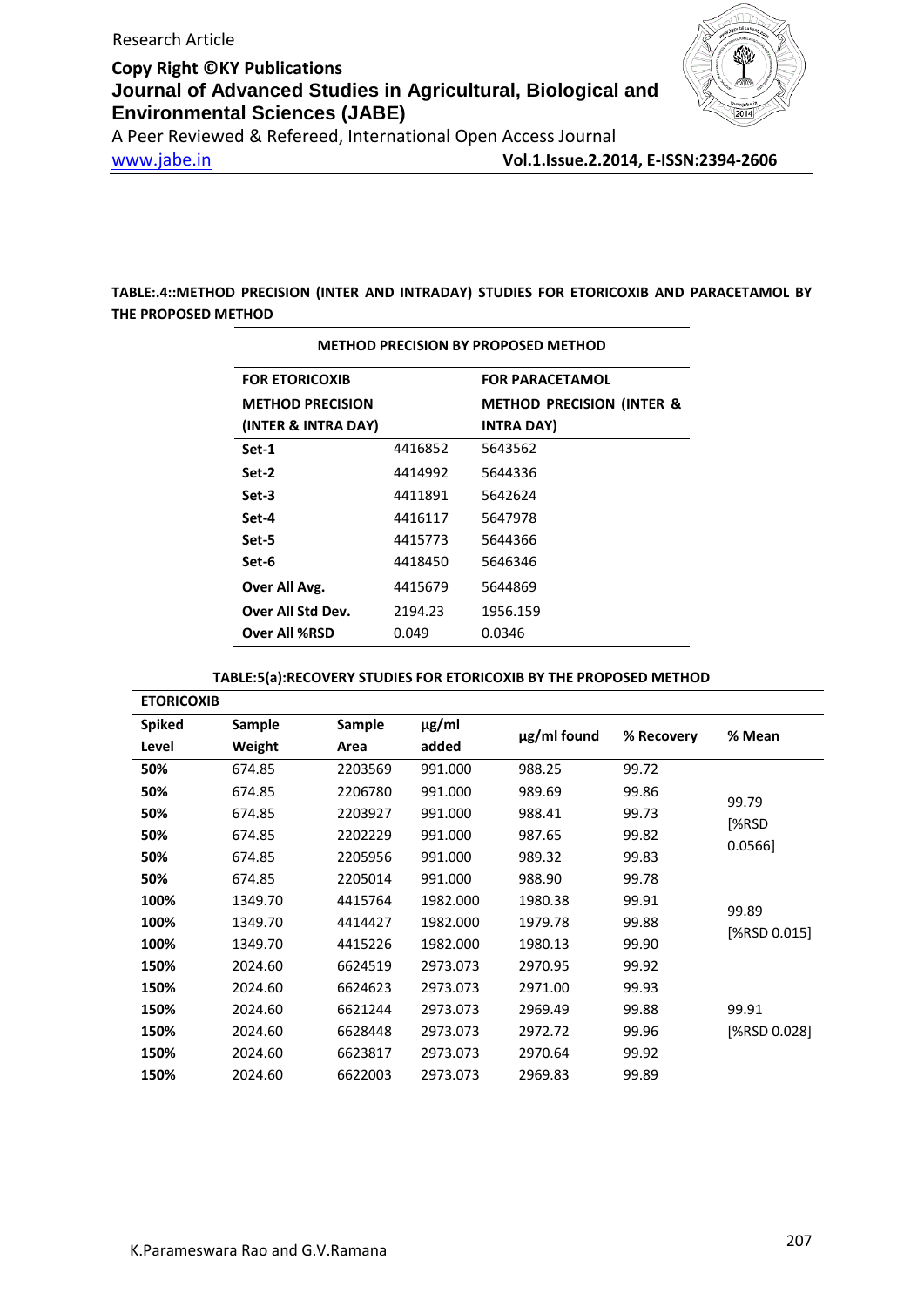

A Peer Reviewed & Refereed, International Open Access Journal www.jabe.in **Vol.1.Issue.2.2014, E-ISSN:2394-2606**

**TABLE:.4::METHOD PRECISION (INTER AND INTRADAY) STUDIES FOR ETORICOXIB AND PARACETAMOL BY THE PROPOSED METHOD**

| <b>METHOD PRECISION BY PROPOSED METHOD</b> |         |                                      |  |  |  |  |
|--------------------------------------------|---------|--------------------------------------|--|--|--|--|
| <b>FOR ETORICOXIB</b>                      |         | <b>FOR PARACETAMOL</b>               |  |  |  |  |
| <b>METHOD PRECISION</b>                    |         | <b>METHOD PRECISION (INTER &amp;</b> |  |  |  |  |
| (INTER & INTRA DAY)                        |         | <b>INTRA DAY)</b>                    |  |  |  |  |
| Set-1                                      | 4416852 | 5643562                              |  |  |  |  |
| Set-2                                      | 4414992 | 5644336                              |  |  |  |  |
| Set-3                                      | 4411891 | 5642624                              |  |  |  |  |
| Set-4                                      | 4416117 | 5647978                              |  |  |  |  |
| Set-5                                      | 4415773 | 5644366                              |  |  |  |  |
| Set-6                                      | 4418450 | 5646346                              |  |  |  |  |
| Over All Avg.                              | 4415679 | 5644869                              |  |  |  |  |
| Over All Std Dev.                          | 2194.23 | 1956.159                             |  |  |  |  |
| <b>Over All %RSD</b>                       | 0.049   | 0.0346                               |  |  |  |  |

### **TABLE:5(a):RECOVERY STUDIES FOR ETORICOXIB BY THE PROPOSED METHOD**

| <b>ETORICOXIB</b> |         |         |            |                  |            |              |
|-------------------|---------|---------|------------|------------------|------------|--------------|
| <b>Spiked</b>     | Sample  | Sample  | $\mu$ g/ml | $\mu$ g/ml found | % Recovery | % Mean       |
| Level             | Weight  | Area    | added      |                  |            |              |
| 50%               | 674.85  | 2203569 | 991.000    | 988.25           | 99.72      |              |
| 50%               | 674.85  | 2206780 | 991.000    | 989.69           | 99.86      | 99.79        |
| 50%               | 674.85  | 2203927 | 991.000    | 988.41           | 99.73      | [%RSD        |
| 50%               | 674.85  | 2202229 | 991.000    | 987.65           | 99.82      | $0.0566$ ]   |
| 50%               | 674.85  | 2205956 | 991.000    | 989.32           | 99.83      |              |
| 50%               | 674.85  | 2205014 | 991.000    | 988.90           | 99.78      |              |
| 100%              | 1349.70 | 4415764 | 1982.000   | 1980.38          | 99.91      | 99.89        |
| 100%              | 1349.70 | 4414427 | 1982.000   | 1979.78          | 99.88      | [%RSD 0.015] |
| 100%              | 1349.70 | 4415226 | 1982.000   | 1980.13          | 99.90      |              |
| 150%              | 2024.60 | 6624519 | 2973.073   | 2970.95          | 99.92      |              |
| 150%              | 2024.60 | 6624623 | 2973.073   | 2971.00          | 99.93      |              |
| 150%              | 2024.60 | 6621244 | 2973.073   | 2969.49          | 99.88      | 99.91        |
| 150%              | 2024.60 | 6628448 | 2973.073   | 2972.72          | 99.96      | [%RSD 0.028] |
| 150%              | 2024.60 | 6623817 | 2973.073   | 2970.64          | 99.92      |              |
| 150%              | 2024.60 | 6622003 | 2973.073   | 2969.83          | 99.89      |              |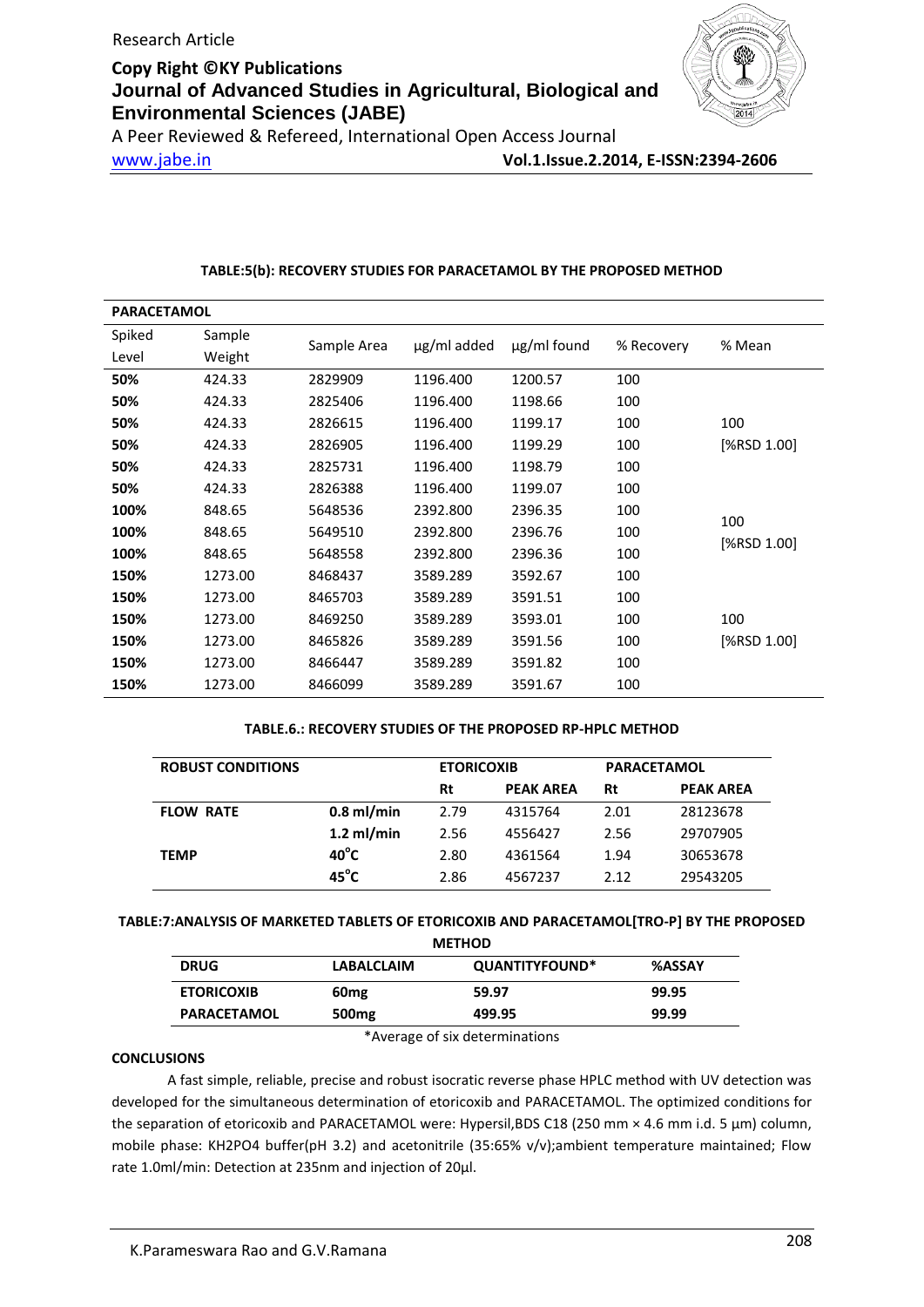

A Peer Reviewed & Refereed, International Open Access Journal www.jabe.in **Vol.1.Issue.2.2014, E-ISSN:2394-2606**

### **TABLE:5(b): RECOVERY STUDIES FOR PARACETAMOL BY THE PROPOSED METHOD**

| <b>PARACETAMOL</b> |         |             |             |                  |            |             |
|--------------------|---------|-------------|-------------|------------------|------------|-------------|
| Spiked             | Sample  | Sample Area | ug/ml added | $\mu$ g/ml found | % Recovery | % Mean      |
| Level              | Weight  |             |             |                  |            |             |
| 50%                | 424.33  | 2829909     | 1196.400    | 1200.57          | 100        |             |
| 50%                | 424.33  | 2825406     | 1196.400    | 1198.66          | 100        |             |
| 50%                | 424.33  | 2826615     | 1196.400    | 1199.17          | 100        | 100         |
| 50%                | 424.33  | 2826905     | 1196.400    | 1199.29          | 100        | [%RSD 1.00] |
| 50%                | 424.33  | 2825731     | 1196.400    | 1198.79          | 100        |             |
| 50%                | 424.33  | 2826388     | 1196.400    | 1199.07          | 100        |             |
| 100%               | 848.65  | 5648536     | 2392.800    | 2396.35          | 100        | 100         |
| 100%               | 848.65  | 5649510     | 2392.800    | 2396.76          | 100        | [%RSD 1.00] |
| 100%               | 848.65  | 5648558     | 2392.800    | 2396.36          | 100        |             |
| 150%               | 1273.00 | 8468437     | 3589.289    | 3592.67          | 100        |             |
| 150%               | 1273.00 | 8465703     | 3589.289    | 3591.51          | 100        |             |
| 150%               | 1273.00 | 8469250     | 3589.289    | 3593.01          | 100        | 100         |
| 150%               | 1273.00 | 8465826     | 3589.289    | 3591.56          | 100        | [%RSD 1.00] |
| 150%               | 1273.00 | 8466447     | 3589.289    | 3591.82          | 100        |             |
| 150%               | 1273.00 | 8466099     | 3589.289    | 3591.67          | 100        |             |

### **TABLE.6.: RECOVERY STUDIES OF THE PROPOSED RP-HPLC METHOD**

| <b>ROBUST CONDITIONS</b> |                | <b>PARACETAMOL</b><br><b>ETORICOXIB</b> |                  |      |                  |
|--------------------------|----------------|-----------------------------------------|------------------|------|------------------|
|                          |                | Rt                                      | <b>PEAK AREA</b> | Rt   | <b>PEAK AREA</b> |
| <b>FLOW RATE</b>         | $0.8$ ml/min   | 2.79                                    | 4315764          | 2.01 | 28123678         |
|                          | $1.2$ ml/min   | 2.56                                    | 4556427          | 2.56 | 29707905         |
| <b>TEMP</b>              | $40^{\circ}$ C | 2.80                                    | 4361564          | 1.94 | 30653678         |
|                          | $45^{\circ}$ C | 2.86                                    | 4567237          | 2.12 | 29543205         |

## **TABLE:7:ANALYSIS OF MARKETED TABLETS OF ETORICOXIB AND PARACETAMOL[TRO-P] BY THE PROPOSED**

| <b>METHOD</b>                                                       |        |       |  |  |  |
|---------------------------------------------------------------------|--------|-------|--|--|--|
| QUANTITYFOUND*<br><b>DRUG</b><br><b>%ASSAY</b><br><b>LABALCLAIM</b> |        |       |  |  |  |
| 60 <sub>mg</sub>                                                    | 59.97  | 99.95 |  |  |  |
| 500 <sub>mg</sub>                                                   | 499.95 | 99.99 |  |  |  |
|                                                                     |        |       |  |  |  |

\*Average of six determinations

### **CONCLUSIONS**

A fast simple, reliable, precise and robust isocratic reverse phase HPLC method with UV detection was developed for the simultaneous determination of etoricoxib and PARACETAMOL. The optimized conditions for the separation of etoricoxib and PARACETAMOL were: Hypersil,BDS C18 (250 mm × 4.6 mm i.d. 5 μm) column, mobile phase: KH2PO4 buffer(pH 3.2) and acetonitrile (35:65% v/v);ambient temperature maintained; Flow rate 1.0ml/min: Detection at 235nm and injection of 20μl.